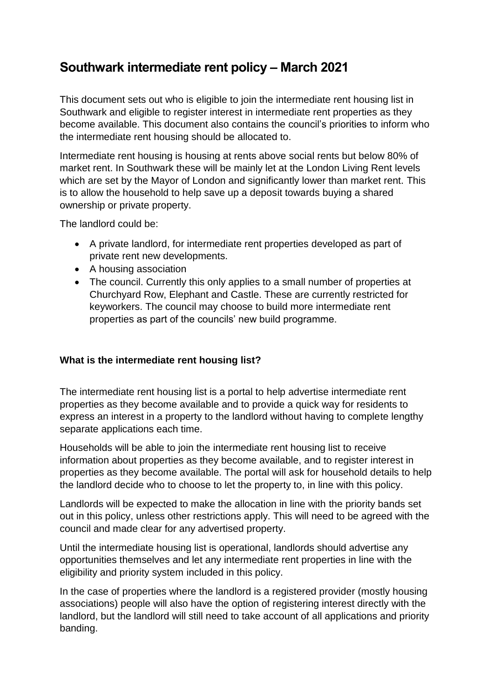# **Southwark intermediate rent policy – March 2021**

This document sets out who is eligible to join the intermediate rent housing list in Southwark and eligible to register interest in intermediate rent properties as they become available. This document also contains the council's priorities to inform who the intermediate rent housing should be allocated to.

Intermediate rent housing is housing at rents above social rents but below 80% of market rent. In Southwark these will be mainly let at the London Living Rent levels which are set by the Mayor of London and significantly lower than market rent. This is to allow the household to help save up a deposit towards buying a shared ownership or private property.

The landlord could be:

- A private landlord, for intermediate rent properties developed as part of private rent new developments.
- A housing association
- The council. Currently this only applies to a small number of properties at Churchyard Row, Elephant and Castle. These are currently restricted for keyworkers. The council may choose to build more intermediate rent properties as part of the councils' new build programme.

# **What is the intermediate rent housing list?**

The intermediate rent housing list is a portal to help advertise intermediate rent properties as they become available and to provide a quick way for residents to express an interest in a property to the landlord without having to complete lengthy separate applications each time.

Households will be able to join the intermediate rent housing list to receive information about properties as they become available, and to register interest in properties as they become available. The portal will ask for household details to help the landlord decide who to choose to let the property to, in line with this policy.

Landlords will be expected to make the allocation in line with the priority bands set out in this policy, unless other restrictions apply. This will need to be agreed with the council and made clear for any advertised property.

Until the intermediate housing list is operational, landlords should advertise any opportunities themselves and let any intermediate rent properties in line with the eligibility and priority system included in this policy.

In the case of properties where the landlord is a registered provider (mostly housing associations) people will also have the option of registering interest directly with the landlord, but the landlord will still need to take account of all applications and priority banding.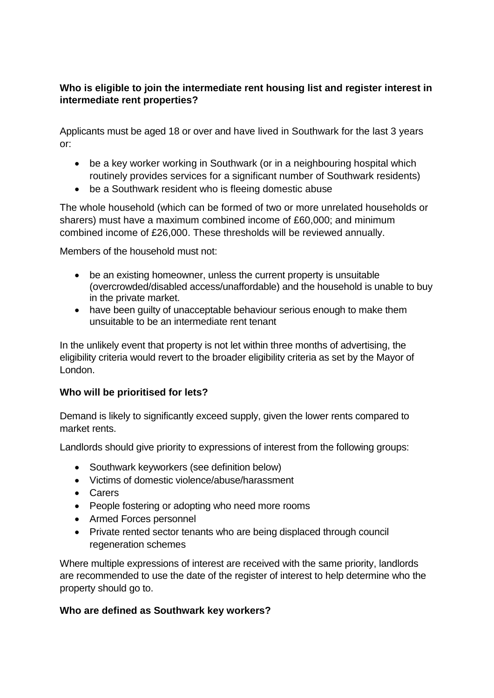# **Who is eligible to join the intermediate rent housing list and register interest in intermediate rent properties?**

Applicants must be aged 18 or over and have lived in Southwark for the last 3 years or:

- be a key worker working in Southwark (or in a neighbouring hospital which routinely provides services for a significant number of Southwark residents)
- be a Southwark resident who is fleeing domestic abuse

The whole household (which can be formed of two or more unrelated households or sharers) must have a maximum combined income of £60,000; and minimum combined income of £26,000. These thresholds will be reviewed annually.

Members of the household must not:

- be an existing homeowner, unless the current property is unsuitable (overcrowded/disabled access/unaffordable) and the household is unable to buy in the private market.
- have been guilty of unacceptable behaviour serious enough to make them unsuitable to be an intermediate rent tenant

In the unlikely event that property is not let within three months of advertising, the eligibility criteria would revert to the broader eligibility criteria as set by the Mayor of London.

## **Who will be prioritised for lets?**

Demand is likely to significantly exceed supply, given the lower rents compared to market rents.

Landlords should give priority to expressions of interest from the following groups:

- Southwark keyworkers (see definition below)
- Victims of domestic violence/abuse/harassment
- Carers
- People fostering or adopting who need more rooms
- Armed Forces personnel
- Private rented sector tenants who are being displaced through council regeneration schemes

Where multiple expressions of interest are received with the same priority, landlords are recommended to use the date of the register of interest to help determine who the property should go to.

## **Who are defined as Southwark key workers?**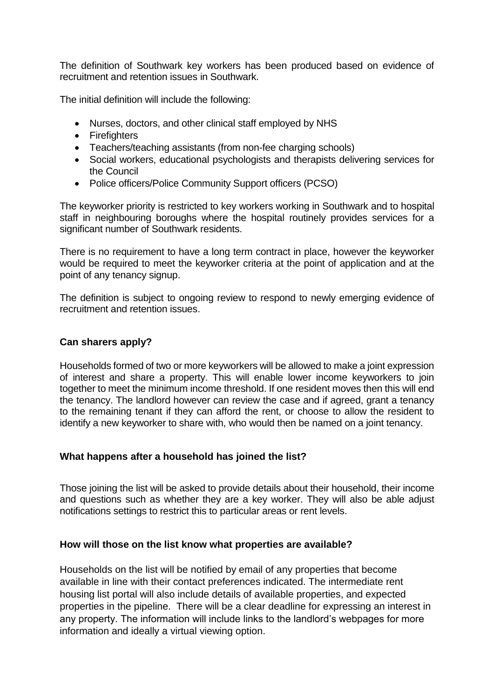The definition of Southwark key workers has been produced based on evidence of recruitment and retention issues in Southwark.

The initial definition will include the following:

- Nurses, doctors, and other clinical staff employed by NHS
- Firefighters
- Teachers/teaching assistants (from non-fee charging schools)
- Social workers, educational psychologists and therapists delivering services for the Council
- Police officers/Police Community Support officers (PCSO)

The keyworker priority is restricted to key workers working in Southwark and to hospital staff in neighbouring boroughs where the hospital routinely provides services for a significant number of Southwark residents.

There is no requirement to have a long term contract in place, however the keyworker would be required to meet the keyworker criteria at the point of application and at the point of any tenancy signup.

The definition is subject to ongoing review to respond to newly emerging evidence of recruitment and retention issues.

#### **Can sharers apply?**

Households formed of two or more keyworkers will be allowed to make a joint expression of interest and share a property. This will enable lower income keyworkers to join together to meet the minimum income threshold. If one resident moves then this will end the tenancy. The landlord however can review the case and if agreed, grant a tenancy to the remaining tenant if they can afford the rent, or choose to allow the resident to identify a new keyworker to share with, who would then be named on a joint tenancy.

#### **What happens after a household has joined the list?**

Those joining the list will be asked to provide details about their household, their income and questions such as whether they are a key worker. They will also be able adjust notifications settings to restrict this to particular areas or rent levels.

#### **How will those on the list know what properties are available?**

Households on the list will be notified by email of any properties that become available in line with their contact preferences indicated. The intermediate rent housing list portal will also include details of available properties, and expected properties in the pipeline. There will be a clear deadline for expressing an interest in any property. The information will include links to the landlord's webpages for more information and ideally a virtual viewing option.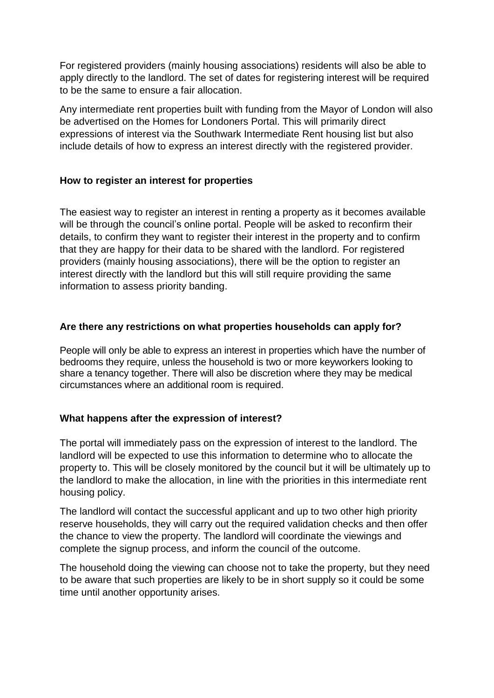For registered providers (mainly housing associations) residents will also be able to apply directly to the landlord. The set of dates for registering interest will be required to be the same to ensure a fair allocation.

Any intermediate rent properties built with funding from the Mayor of London will also be advertised on the Homes for Londoners Portal. This will primarily direct expressions of interest via the Southwark Intermediate Rent housing list but also include details of how to express an interest directly with the registered provider.

## **How to register an interest for properties**

The easiest way to register an interest in renting a property as it becomes available will be through the council's online portal. People will be asked to reconfirm their details, to confirm they want to register their interest in the property and to confirm that they are happy for their data to be shared with the landlord. For registered providers (mainly housing associations), there will be the option to register an interest directly with the landlord but this will still require providing the same information to assess priority banding.

## **Are there any restrictions on what properties households can apply for?**

People will only be able to express an interest in properties which have the number of bedrooms they require, unless the household is two or more keyworkers looking to share a tenancy together. There will also be discretion where they may be medical circumstances where an additional room is required.

## **What happens after the expression of interest?**

The portal will immediately pass on the expression of interest to the landlord. The landlord will be expected to use this information to determine who to allocate the property to. This will be closely monitored by the council but it will be ultimately up to the landlord to make the allocation, in line with the priorities in this intermediate rent housing policy.

The landlord will contact the successful applicant and up to two other high priority reserve households, they will carry out the required validation checks and then offer the chance to view the property. The landlord will coordinate the viewings and complete the signup process, and inform the council of the outcome.

The household doing the viewing can choose not to take the property, but they need to be aware that such properties are likely to be in short supply so it could be some time until another opportunity arises.